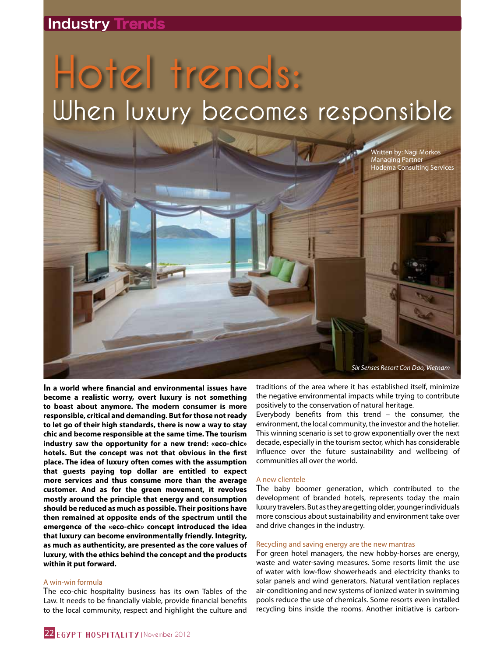# **Industry Trends**

# **Hotel trends: When luxury becomes responsible**

Written by: Nagi Morkos Managing Partner Hodema Consulting Services

**In a world where financial and environmental issues have become a realistic worry, overt luxury is not something to boast about anymore. The modern consumer is more responsible, critical and demanding. But for those not ready to let go of their high standards, there is now a way to stay chic and become responsible at the same time. The tourism industry saw the opportunity for a new trend: «eco-chic» hotels. But the concept was not that obvious in the first place. The idea of luxury often comes with the assumption that guests paying top dollar are entitled to expect more services and thus consume more than the average customer. And as for the green movement, it revolves mostly around the principle that energy and consumption should be reduced as much as possible. Their positions have then remained at opposite ends of the spectrum until the emergence of the «eco-chic» concept introduced the idea that luxury can become environmentally friendly. Integrity, as much as authenticity, are presented as the core values of luxury, with the ethics behind the concept and the products within it put forward.**

## A win-win formula

The eco-chic hospitality business has its own Tables of the Law. It needs to be financially viable, provide financial benefits to the local community, respect and highlight the culture and

traditions of the area where it has established itself, minimize the negative environmental impacts while trying to contribute positively to the conservation of natural heritage.

Six Senses Resort Con Dao, Vietnam

Everybody benefits from this trend – the consumer, the environment, the local community, the investor and the hotelier. This winning scenario is set to grow exponentially over the next decade, especially in the tourism sector, which has considerable influence over the future sustainability and wellbeing of communities all over the world.

#### A new clientele

The baby boomer generation, which contributed to the development of branded hotels, represents today the main luxury travelers. But as they are getting older, younger individuals more conscious about sustainability and environment take over and drive changes in the industry.

#### Recycling and saving energy are the new mantras

For green hotel managers, the new hobby-horses are energy, waste and water-saving measures. Some resorts limit the use of water with low-flow showerheads and electricity thanks to solar panels and wind generators. Natural ventilation replaces air-conditioning and new systems of ionized water in swimming pools reduce the use of chemicals. Some resorts even installed recycling bins inside the rooms. Another initiative is carbon